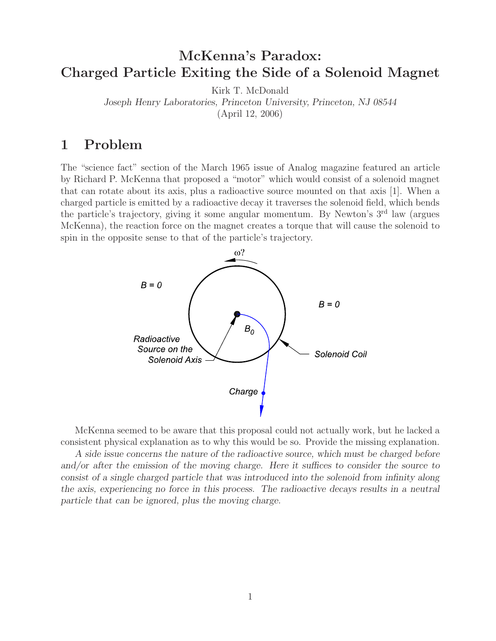# **McKenna's Paradox: Charged Particle Exiting the Side of a Solenoid Magnet**

Kirk T. McDonald

*Joseph Henry Laboratories, Princeton University, Princeton, NJ 08544*

(April 12, 2006)

# **1 Problem**

The "science fact" section of the March 1965 issue of Analog magazine featured an article by Richard P. McKenna that proposed a "motor" which would consist of a solenoid magnet that can rotate about its axis, plus a radioactive source mounted on that axis [1]. When a charged particle is emitted by a radioactive decay it traverses the solenoid field, which bends the particle's trajectory, giving it some angular momentum. By Newton's 3rd law (argues McKenna), the reaction force on the magnet creates a torque that will cause the solenoid to spin in the opposite sense to that of the particle's trajectory.



McKenna seemed to be aware that this proposal could not actually work, but he lacked a consistent physical explanation as to why this would be so. Provide the missing explanation.

*A side issue concerns the nature of the radioactive source, which must be charged before and/or after the emission of the moving charge. Here it suffices to consider the source to consist of a single charged particle that was introduced into the solenoid from infinity along the axis, experiencing no force in this process. The radioactive decays results in a neutral particle that can be ignored, plus the moving charge.*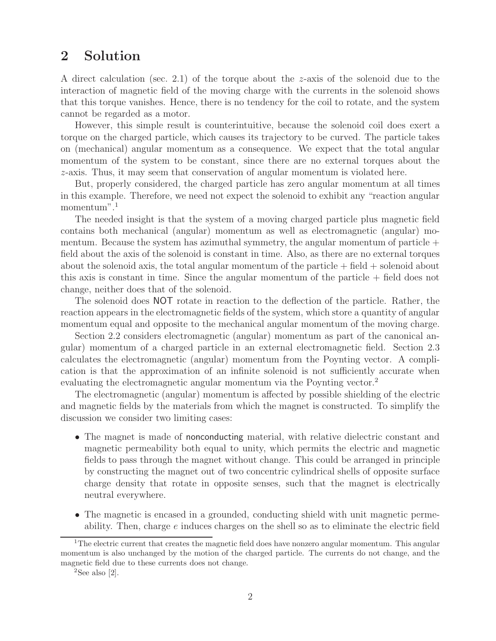## **2 Solution**

A direct calculation (sec. 2.1) of the torque about the z-axis of the solenoid due to the interaction of magnetic field of the moving charge with the currents in the solenoid shows that this torque vanishes. Hence, there is no tendency for the coil to rotate, and the system cannot be regarded as a motor.

However, this simple result is counterintuitive, because the solenoid coil does exert a torque on the charged particle, which causes its trajectory to be curved. The particle takes on (mechanical) angular momentum as a consequence. We expect that the total angular momentum of the system to be constant, since there are no external torques about the z-axis. Thus, it may seem that conservation of angular momentum is violated here.

But, properly considered, the charged particle has zero angular momentum at all times in this example. Therefore, we need not expect the solenoid to exhibit any "reaction angular momentum".<sup>1</sup>

The needed insight is that the system of a moving charged particle plus magnetic field contains both mechanical (angular) momentum as well as electromagnetic (angular) momentum. Because the system has azimuthal symmetry, the angular momentum of particle  $+$ field about the axis of the solenoid is constant in time. Also, as there are no external torques about the solenoid axis, the total angular momentum of the particle  $+$  field  $+$  solenoid about this axis is constant in time. Since the angular momentum of the particle + field does not change, neither does that of the solenoid.

The solenoid does NOT rotate in reaction to the deflection of the particle. Rather, the reaction appears in the electromagnetic fields of the system, which store a quantity of angular momentum equal and opposite to the mechanical angular momentum of the moving charge.

Section 2.2 considers electromagnetic (angular) momentum as part of the canonical angular) momentum of a charged particle in an external electromagnetic field. Section 2.3 calculates the electromagnetic (angular) momentum from the Poynting vector. A complication is that the approximation of an infinite solenoid is not sufficiently accurate when evaluating the electromagnetic angular momentum via the Poynting vector.<sup>2</sup>

The electromagnetic (angular) momentum is affected by possible shielding of the electric and magnetic fields by the materials from which the magnet is constructed. To simplify the discussion we consider two limiting cases:

- The magnet is made of nonconducting material, with relative dielectric constant and magnetic permeability both equal to unity, which permits the electric and magnetic fields to pass through the magnet without change. This could be arranged in principle by constructing the magnet out of two concentric cylindrical shells of opposite surface charge density that rotate in opposite senses, such that the magnet is electrically neutral everywhere.
- The magnetic is encased in a grounded, conducting shield with unit magnetic permeability. Then, charge e induces charges on the shell so as to eliminate the electric field

<sup>&</sup>lt;sup>1</sup>The electric current that creates the magnetic field does have nonzero angular momentum. This angular momentum is also unchanged by the motion of the charged particle. The currents do not change, and the magnetic field due to these currents does not change.

 ${}^{2}$ See also [2].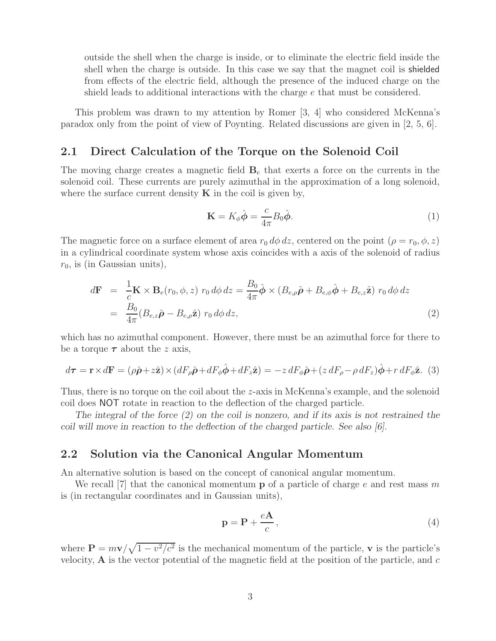outside the shell when the charge is inside, or to eliminate the electric field inside the shell when the charge is outside. In this case we say that the magnet coil is shielded from effects of the electric field, although the presence of the induced charge on the shield leads to additional interactions with the charge  $e$  that must be considered.

This problem was drawn to my attention by Romer [3, 4] who considered McKenna's paradox only from the point of view of Poynting. Related discussions are given in [2, 5, 6].

### **2.1 Direct Calculation of the Torque on the Solenoid Coil**

The moving charge creates a magnetic field  $\mathbf{B}_e$  that exerts a force on the currents in the solenoid coil. These currents are purely azimuthal in the approximation of a long solenoid, where the surface current density  $\bf{K}$  in the coil is given by,

$$
\mathbf{K} = K_{\phi}\hat{\boldsymbol{\phi}} = \frac{c}{4\pi}B_0\hat{\boldsymbol{\phi}}.\tag{1}
$$

The magnetic force on a surface element of area  $r_0 d\phi dz$ , centered on the point  $(\rho = r_0, \phi, z)$ in a cylindrical coordinate system whose axis coincides with a axis of the solenoid of radius  $r_0$ , is (in Gaussian units),

$$
d\mathbf{F} = \frac{1}{c}\mathbf{K} \times \mathbf{B}_e(r_0, \phi, z) \ r_0 \, d\phi \, dz = \frac{B_0}{4\pi} \hat{\phi} \times (B_{e,\rho}\hat{\boldsymbol{\rho}} + B_{e,\phi}\hat{\boldsymbol{\phi}} + B_{e,z}\hat{\mathbf{z}}) \ r_0 \, d\phi \, dz
$$
  
= 
$$
\frac{B_0}{4\pi} (B_{e,z}\hat{\boldsymbol{\rho}} - B_{e,\rho}\hat{\mathbf{z}}) \ r_0 \, d\phi \, dz,
$$
 (2)

which has no azimuthal component. However, there must be an azimuthal force for there to be a torque  $\tau$  about the *z* axis,

$$
d\boldsymbol{\tau} = \mathbf{r} \times d\mathbf{F} = (\rho \hat{\boldsymbol{\rho}} + z\hat{\mathbf{z}}) \times (dF_{\rho}\hat{\boldsymbol{\rho}} + dF_{\phi}\hat{\boldsymbol{\phi}} + dF_{z}\hat{\mathbf{z}}) = -z dF_{\phi}\hat{\boldsymbol{\rho}} + (z dF_{\rho} - \rho dF_{z})\hat{\boldsymbol{\phi}} + r dF_{\phi}\hat{\mathbf{z}}.
$$
 (3)

Thus, there is no torque on the coil about the z-axis in McKenna's example, and the solenoid coil does NOT rotate in reaction to the deflection of the charged particle.

*The integral of the force (2) on the coil is nonzero, and if its axis is not restrained the coil will move in reaction to the deflection of the charged particle. See also [6].*

### **2.2 Solution via the Canonical Angular Momentum**

An alternative solution is based on the concept of canonical angular momentum.

We recall  $[7]$  that the canonical momentum **p** of a particle of charge e and rest mass m is (in rectangular coordinates and in Gaussian units),

$$
\mathbf{p} = \mathbf{P} + \frac{e\mathbf{A}}{c},\tag{4}
$$

where  $P = m\mathbf{v}/\sqrt{1 - v^2/c^2}$  is the mechanical momentum of the particle, **v** is the particle's velocity,  $\bf{A}$  is the vector potential of the magnetic field at the position of the particle, and  $c$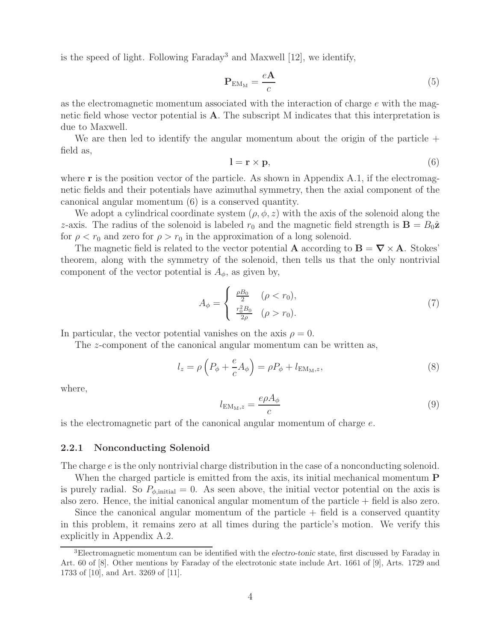is the speed of light. Following Faraday<sup>3</sup> and Maxwell  $[12]$ , we identify,

$$
\mathbf{P}_{\mathrm{EM}_{\mathrm{M}}} = \frac{e\mathbf{A}}{c} \tag{5}
$$

as the electromagnetic momentum associated with the interaction of charge e with the magnetic field whose vector potential is **A**. The subscript M indicates that this interpretation is due to Maxwell.

We are then led to identify the angular momentum about the origin of the particle  $+$ field as,

$$
l = r \times p,\tag{6}
$$

where **r** is the position vector of the particle. As shown in Appendix A.1, if the electromagnetic fields and their potentials have azimuthal symmetry, then the axial component of the canonical angular momentum (6) is a conserved quantity.

We adopt a cylindrical coordinate system  $(\rho, \phi, z)$  with the axis of the solenoid along the z-axis. The radius of the solenoid is labeled  $r_0$  and the magnetic field strength is  $\mathbf{B} = B_0 \hat{\mathbf{z}}$ for  $\rho < r_0$  and zero for  $\rho > r_0$  in the approximation of a long solenoid.

The magnetic field is related to the vector potential **A** according to  $\mathbf{B} = \nabla \times \mathbf{A}$ . Stokes' theorem, along with the symmetry of the solenoid, then tells us that the only nontrivial component of the vector potential is  $A_{\phi}$ , as given by,

$$
A_{\phi} = \begin{cases} \frac{\rho B_0}{2} & (\rho < r_0), \\ \frac{r_0^2 B_0}{2\rho} & (\rho > r_0). \end{cases}
$$
 (7)

In particular, the vector potential vanishes on the axis  $\rho = 0$ .

The z-component of the canonical angular momentum can be written as,

$$
l_z = \rho \left( P_\phi + \frac{e}{c} A_\phi \right) = \rho P_\phi + l_{\text{EM}_M, z},\tag{8}
$$

where,

$$
l_{\text{EM}_M,z} = \frac{e\rho A_\phi}{c} \tag{9}
$$

is the electromagnetic part of the canonical angular momentum of charge  $e$ .

#### **2.2.1 Nonconducting Solenoid**

The charge e is the only nontrivial charge distribution in the case of a nonconducting solenoid.

When the charged particle is emitted from the axis, its initial mechanical momentum **P** is purely radial. So  $P_{\phi,\text{initial}} = 0$ . As seen above, the initial vector potential on the axis is also zero. Hence, the initial canonical angular momentum of the particle + field is also zero.

Since the canonical angular momentum of the particle  $+$  field is a conserved quantity in this problem, it remains zero at all times during the particle's motion. We verify this explicitly in Appendix A.2.

<sup>3</sup>Electromagnetic momentum can be identified with the *electro-tonic* state, first discussed by Faraday in Art. 60 of [8]. Other mentions by Faraday of the electrotonic state include Art. 1661 of [9], Arts. 1729 and 1733 of [10], and Art. 3269 of [11].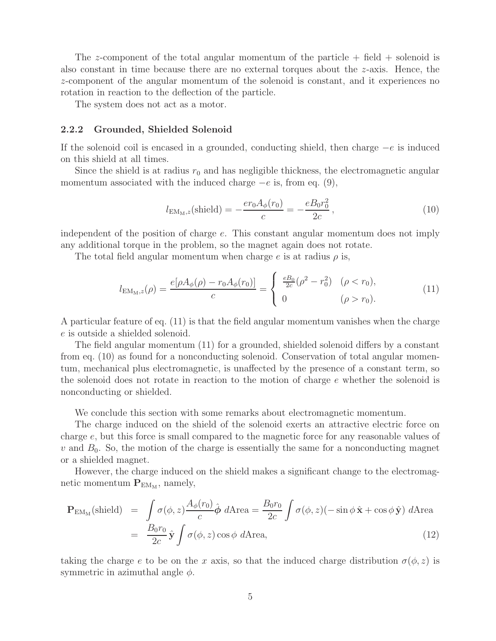The z-component of the total angular momentum of the particle  $+$  field  $+$  solenoid is also constant in time because there are no external torques about the z-axis. Hence, the z-component of the angular momentum of the solenoid is constant, and it experiences no rotation in reaction to the deflection of the particle.

The system does not act as a motor.

#### **2.2.2 Grounded, Shielded Solenoid**

If the solenoid coil is encased in a grounded, conducting shield, then charge  $-e$  is induced on this shield at all times.

Since the shield is at radius  $r_0$  and has negligible thickness, the electromagnetic angular momentum associated with the induced charge  $-e$  is, from eq. (9),

$$
l_{\text{EM}_M,z}(\text{shield}) = -\frac{er_0 A_{\phi}(r_0)}{c} = -\frac{e B_0 r_0^2}{2c},\tag{10}
$$

independent of the position of charge e. This constant angular momentum does not imply any additional torque in the problem, so the magnet again does not rotate.

The total field angular momentum when charge e is at radius  $\rho$  is,

$$
l_{\text{EM}_M,z}(\rho) = \frac{e[\rho A_{\phi}(\rho) - r_0 A_{\phi}(r_0)]}{c} = \begin{cases} \frac{eB_0}{2c}(\rho^2 - r_0^2) & (\rho < r_0), \\ 0 & (\rho > r_0). \end{cases}
$$
(11)

A particular feature of eq. (11) is that the field angular momentum vanishes when the charge e is outside a shielded solenoid.

The field angular momentum (11) for a grounded, shielded solenoid differs by a constant from eq. (10) as found for a nonconducting solenoid. Conservation of total angular momentum, mechanical plus electromagnetic, is unaffected by the presence of a constant term, so the solenoid does not rotate in reaction to the motion of charge e whether the solenoid is nonconducting or shielded.

We conclude this section with some remarks about electromagnetic momentum.

The charge induced on the shield of the solenoid exerts an attractive electric force on charge e, but this force is small compared to the magnetic force for any reasonable values of  $v$  and  $B_0$ . So, the motion of the charge is essentially the same for a nonconducting magnet or a shielded magnet.

However, the charge induced on the shield makes a significant change to the electromagnetic momentum  $P_{EM_M}$ , namely,

$$
\mathbf{P}_{\text{EM}_{\text{M}}}(\text{shield}) = \int \sigma(\phi, z) \frac{A_{\phi}(r_{0})}{c} \hat{\phi} d\text{Area} = \frac{B_{0}r_{0}}{2c} \int \sigma(\phi, z) (-\sin \phi \, \hat{\mathbf{x}} + \cos \phi \, \hat{\mathbf{y}}) d\text{Area}
$$

$$
= \frac{B_{0}r_{0}}{2c} \hat{\mathbf{y}} \int \sigma(\phi, z) \cos \phi d\text{Area}, \tag{12}
$$

taking the charge e to be on the x axis, so that the induced charge distribution  $\sigma(\phi, z)$  is symmetric in azimuthal angle  $\phi$ .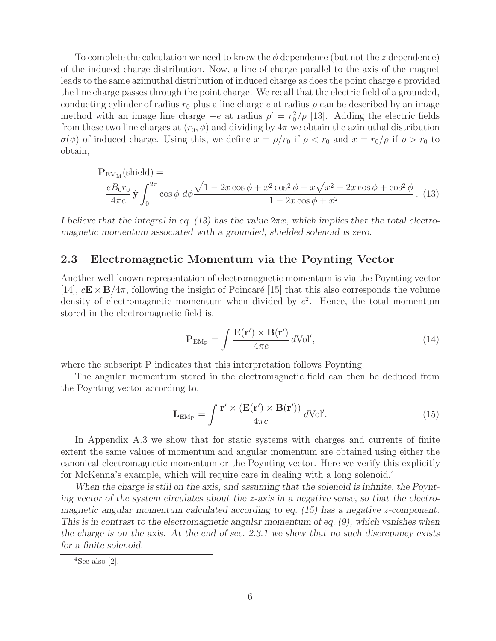To complete the calculation we need to know the  $\phi$  dependence (but not the z dependence) of the induced charge distribution. Now, a line of charge parallel to the axis of the magnet leads to the same azimuthal distribution of induced charge as does the point charge e provided the line charge passes through the point charge. We recall that the electric field of a grounded, conducting cylinder of radius  $r_0$  plus a line charge e at radius  $\rho$  can be described by an image method with an image line charge  $-e$  at radius  $\rho' = r_0^2/\rho$  [13]. Adding the electric fields from these two line charges at  $(r_0, \phi)$  and dividing by  $4\pi$  we obtain the azimuthal distribution  $\sigma(\phi)$  of induced charge. Using this, we define  $x = \rho/r_0$  if  $\rho < r_0$  and  $x = r_0/\rho$  if  $\rho > r_0$  to obtain,

$$
\mathbf{P}_{EM_M}(\text{shield}) = -\frac{eB_0r_0}{4\pi c} \hat{\mathbf{y}} \int_0^{2\pi} \cos\phi \ d\phi \frac{\sqrt{1 - 2x\cos\phi + x^2\cos^2\phi} + x\sqrt{x^2 - 2x\cos\phi + \cos^2\phi}}{1 - 2x\cos\phi + x^2}.
$$
 (13)

*I believe that the integral in eq. (13) has the value*  $2πx$ *, which implies that the total electromagnetic momentum associated with a grounded, shielded solenoid is zero.*

### **2.3 Electromagnetic Momentum via the Poynting Vector**

Another well-known representation of electromagnetic momentum is via the Poynting vector [14],  $c\mathbf{E} \times \mathbf{B}/4\pi$ , following the insight of Poincaré [15] that this also corresponds the volume density of electromagnetic momentum when divided by  $c^2$ . Hence, the total momentum stored in the electromagnetic field is,

$$
\mathbf{P}_{\mathrm{EM}_{\mathrm{P}}} = \int \frac{\mathbf{E}(\mathbf{r}') \times \mathbf{B}(\mathbf{r}')}{4\pi c} d\mathrm{Vol}',\tag{14}
$$

where the subscript P indicates that this interpretation follows Poynting.

The angular momentum stored in the electromagnetic field can then be deduced from the Poynting vector according to,

$$
\mathbf{L}_{EM_{P}} = \int \frac{\mathbf{r}' \times (\mathbf{E}(\mathbf{r}') \times \mathbf{B}(\mathbf{r}'))}{4\pi c} d\text{Vol}'. \qquad (15)
$$

In Appendix A.3 we show that for static systems with charges and currents of finite extent the same values of momentum and angular momentum are obtained using either the canonical electromagnetic momentum or the Poynting vector. Here we verify this explicitly for McKenna's example, which will require care in dealing with a long solenoid.<sup>4</sup>

*When the charge is still on the axis, and assuming that the solenoid is infinite, the Poynting vector of the system circulates about the* z*-axis in a negative sense, so that the electromagnetic angular momentum calculated according to eq. (15) has a negative z-component. This is in contrast to the electromagnetic angular momentum of eq. (9), which vanishes when the charge is on the axis. At the end of sec. 2.3.1 we show that no such discrepancy exists for a finite solenoid.*

 $4$ See also [2].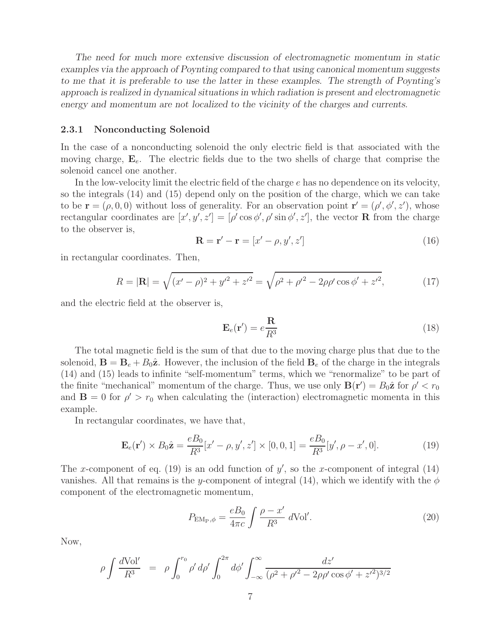*The need for much more extensive discussion of electromagnetic momentum in static examples via the approach of Poynting compared to that using canonical momentum suggests to me that it is preferable to use the latter in these examples. The strength of Poynting's approach is realized in dynamical situations in which radiation is present and electromagnetic energy and momentum are not localized to the vicinity of the charges and currents.*

#### **2.3.1 Nonconducting Solenoid**

In the case of a nonconducting solenoid the only electric field is that associated with the moving charge,  $\mathbf{E}_e$ . The electric fields due to the two shells of charge that comprise the solenoid cancel one another.

In the low-velocity limit the electric field of the charge e has no dependence on its velocity, so the integrals (14) and (15) depend only on the position of the charge, which we can take to be  $\mathbf{r} = (\rho, 0, 0)$  without loss of generality. For an observation point  $\mathbf{r}' = (\rho', \phi', z')$ , whose rectangular coordinates are  $[x', y', z'] = [\rho' \cos \phi', \rho' \sin \phi', z']$ , the vector **R** from the charge to the observer is,

$$
\mathbf{R} = \mathbf{r}' - \mathbf{r} = [x' - \rho, y', z'] \tag{16}
$$

in rectangular coordinates. Then,

$$
R = |\mathbf{R}| = \sqrt{(x'-\rho)^2 + y'^2 + z'^2} = \sqrt{\rho^2 + \rho'^2 - 2\rho\rho'\cos\phi' + z'^2},\tag{17}
$$

and the electric field at the observer is,

$$
\mathbf{E}_e(\mathbf{r}') = e \frac{\mathbf{R}}{R^3} \tag{18}
$$

The total magnetic field is the sum of that due to the moving charge plus that due to the solenoid,  $\mathbf{B} = \mathbf{B}_e + B_0\hat{\mathbf{z}}$ . However, the inclusion of the field  $\mathbf{B}_e$  of the charge in the integrals (14) and (15) leads to infinite "self-momentum" terms, which we "renormalize" to be part of the finite "mechanical" momentum of the charge. Thus, we use only  $\mathbf{B}(\mathbf{r}') = B_0 \hat{\mathbf{z}}$  for  $\rho' < r_0$ and  $\mathbf{B} = 0$  for  $\rho' > r_0$  when calculating the (interaction) electromagnetic momenta in this example.

In rectangular coordinates, we have that,

$$
\mathbf{E}_e(\mathbf{r}') \times B_0 \hat{\mathbf{z}} = \frac{eB_0}{R^3} [x' - \rho, y', z'] \times [0, 0, 1] = \frac{eB_0}{R^3} [y', \rho - x', 0].
$$
\n(19)

The x-component of eq. (19) is an odd function of  $y'$ , so the x-component of integral (14) vanishes. All that remains is the y-component of integral (14), which we identify with the  $\phi$ component of the electromagnetic momentum,

$$
P_{\text{EM}_{\text{P}},\phi} = \frac{eB_0}{4\pi c} \int \frac{\rho - x'}{R^3} d\text{Vol}'.
$$
 (20)

Now,

$$
\rho \int \frac{d\text{Vol}'}{R^3} = \rho \int_0^{r_0} \rho' d\rho' \int_0^{2\pi} d\phi' \int_{-\infty}^{\infty} \frac{dz'}{(\rho^2 + {\rho'}^2 - 2\rho\rho'\cos\phi' + z'^2)^{3/2}}
$$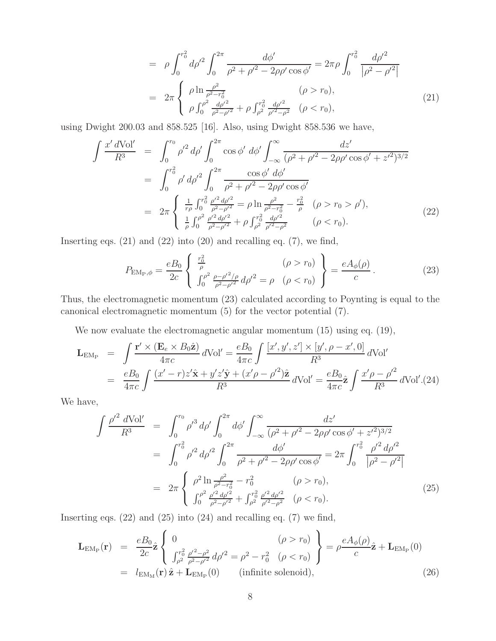$$
= \rho \int_0^{r_0^2} d\rho'^2 \int_0^{2\pi} \frac{d\phi'}{\rho^2 + \rho'^2 - 2\rho\rho' \cos\phi'} = 2\pi\rho \int_0^{r_0^2} \frac{d\rho'^2}{|\rho^2 - \rho'^2|} \n= 2\pi \begin{cases} \rho \ln \frac{\rho^2}{\rho^2 - r_0^2} & (\rho > r_0), \\ \rho \int_0^{\rho^2} \frac{d\rho'^2}{\rho^2 - \rho'^2} + \rho \int_{\rho^2}^{r_0^2} \frac{d\rho'^2}{\rho'^2 - \rho^2} & (\rho < r_0), \end{cases} (21)
$$

using Dwight 200.03 and 858.525 [16]. Also, using Dwight 858.536 we have,

$$
\int \frac{x' dVol'}{R^3} = \int_0^{r_0} \rho'^2 d\rho' \int_0^{2\pi} \cos \phi' d\phi' \int_{-\infty}^{\infty} \frac{dz'}{(\rho^2 + {\rho'}^2 - 2\rho \rho' \cos \phi' + z'^2)^{3/2}}
$$
  
\n
$$
= \int_0^{r_0^2} \rho' d\rho'^2 \int_0^{2\pi} \frac{\cos \phi' d\phi'}{\rho^2 + {\rho'}^2 - 2\rho \rho' \cos \phi'}
$$
  
\n
$$
= 2\pi \begin{cases} \frac{1}{r\rho} \int_0^{r_0^2} \frac{\rho'^2 d\rho'^2}{\rho^2 - {\rho'}^2} = \rho \ln \frac{\rho^2}{\rho^2 - r_0^2} - \frac{r_0^2}{\rho} & (\rho > r_0 > \rho'), \\ \frac{1}{\rho} \int_0^{\rho^2} \frac{\rho'^2 d\rho'^2}{\rho^2 - {\rho'}^2} + \rho \int_{\rho^2}^{r_0^2} \frac{d\rho'^2}{\rho'^2 - \rho^2} & (\rho < r_0). \end{cases}
$$
(22)

Inserting eqs.  $(21)$  and  $(22)$  into  $(20)$  and recalling eq.  $(7)$ , we find,

$$
P_{\text{EM}_{\text{P}},\phi} = \frac{eB_0}{2c} \left\{ \begin{array}{l} \frac{r_0^2}{\rho} & (\rho > r_0) \\ \int_0^{\rho^2} \frac{\rho - \rho'^2/\rho}{\rho^2 - \rho'^2} d\rho'^2 = \rho & (\rho < r_0) \end{array} \right\} = \frac{eA_\phi(\rho)}{c}.
$$
 (23)

Thus, the electromagnetic momentum (23) calculated according to Poynting is equal to the canonical electromagnetic momentum (5) for the vector potential (7).

We now evaluate the electromagnetic angular momentum (15) using eq. (19),

$$
\mathbf{L}_{\text{EM}_{P}} = \int \frac{\mathbf{r}' \times (\mathbf{E}_{e} \times B_{0} \hat{\mathbf{z}})}{4\pi c} d\text{Vol}' = \frac{eB_{0}}{4\pi c} \int \frac{[x', y', z'] \times [y', \rho - x', 0]}{R^{3}} d\text{Vol}'
$$

$$
= \frac{eB_{0}}{4\pi c} \int \frac{(x' - r)z'\hat{\mathbf{x}} + y'z'\hat{\mathbf{y}} + (x'\rho - \rho'^{2})\hat{\mathbf{z}}}{R^{3}} d\text{Vol}' = \frac{eB_{0}}{4\pi c} \hat{\mathbf{z}} \int \frac{x'\rho - \rho'^{2}}{R^{3}} d\text{Vol}'. (24)
$$

We have,

$$
\int \frac{\rho'^2 d\text{Vol}'}{R^3} = \int_0^{r_0} \rho'^3 d\rho' \int_0^{2\pi} d\phi' \int_{-\infty}^{\infty} \frac{dz'}{(\rho^2 + \rho'^2 - 2\rho\rho'\cos\phi' + z'^2)^{3/2}}
$$
  
\n
$$
= \int_0^{r_0^2} \rho'^2 d\rho'^2 \int_0^{2\pi} \frac{d\phi'}{\rho^2 + \rho'^2 - 2\rho\rho'\cos\phi'} = 2\pi \int_0^{r_0^2} \frac{\rho'^2 d\rho'^2}{|\rho^2 - \rho'^2|}
$$
  
\n
$$
= 2\pi \begin{cases} \rho^2 \ln \frac{\rho^2}{\rho^2 - r_0^2} - r_0^2 & (\rho > r_0), \\ \int_0^{\rho^2} \frac{\rho'^2 d\rho'^2}{\rho^2 - \rho'^2} + \int_{\rho^2}^{r_0^2} \frac{\rho'^2 d\rho'^2}{\rho'^2 - \rho^2} & (\rho < r_0). \end{cases}
$$
(25)

Inserting eqs.  $(22)$  and  $(25)$  into  $(24)$  and recalling eq.  $(7)$  we find,

$$
\mathbf{L}_{EM_{P}}(\mathbf{r}) = \frac{eB_{0}}{2c}\hat{\mathbf{z}} \begin{Bmatrix} 0 & (\rho > r_{0}) \\ \int_{\rho^{2}}^{r_{0}^{2}} \frac{\rho^{\prime 2} - \rho^{2}}{\rho^{2} - \rho^{\prime 2}} d\rho^{\prime 2} = \rho^{2} - r_{0}^{2} & (\rho < r_{0}) \end{Bmatrix} = \rho \frac{eA_{\phi}(\rho)}{c}\hat{\mathbf{z}} + \mathbf{L}_{EM_{P}}(0)
$$
  
=  $l_{EM_{M}}(\mathbf{r})\hat{\mathbf{z}} + \mathbf{L}_{EM_{P}}(0)$  (infinite solenoid), (26)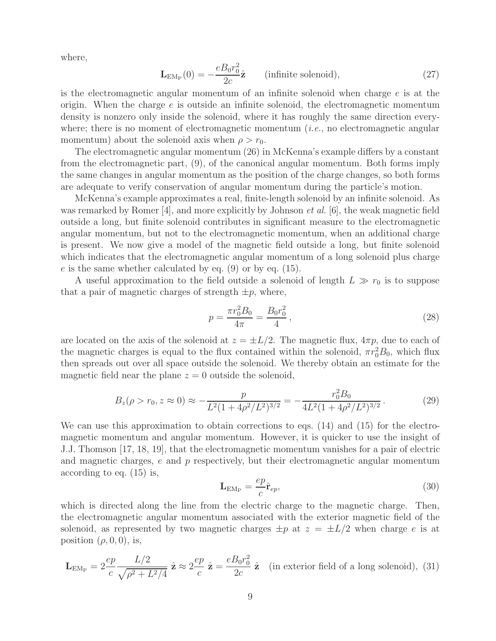where,

$$
\mathbf{L}_{EM_{P}}(0) = -\frac{eB_{0}r_{0}^{2}}{2c}\hat{\mathbf{z}} \qquad \text{(infinite solenoid)},\tag{27}
$$

is the electromagnetic angular momentum of an infinite solenoid when charge  $e$  is at the origin. When the charge  $e$  is outside an infinite solenoid, the electromagnetic momentum density is nonzero only inside the solenoid, where it has roughly the same direction everywhere; there is no moment of electromagnetic momentum (*i.e.*, no electromagnetic angular momentum) about the solenoid axis when  $\rho > r_0$ .

The electromagnetic angular momentum (26) in McKenna's example differs by a constant from the electromagnetic part, (9), of the canonical angular momentum. Both forms imply the same changes in angular momentum as the position of the charge changes, so both forms are adequate to verify conservation of angular momentum during the particle's motion.

McKenna's example approximates a real, finite-length solenoid by an infinite solenoid. As was remarked by Romer [4], and more explicitly by Johnson *et al.* [6], the weak magnetic field outside a long, but finite solenoid contributes in significant measure to the electromagnetic angular momentum, but not to the electromagnetic momentum, when an additional charge is present. We now give a model of the magnetic field outside a long, but finite solenoid which indicates that the electromagnetic angular momentum of a long solenoid plus charge  $e$  is the same whether calculated by eq.  $(9)$  or by eq.  $(15)$ .

A useful approximation to the field outside a solenoid of length  $L \gg r_0$  is to suppose that a pair of magnetic charges of strength  $\pm p$ , where,

$$
p = \frac{\pi r_0^2 B_0}{4\pi} = \frac{B_0 r_0^2}{4},\tag{28}
$$

are located on the axis of the solenoid at  $z = \pm L/2$ . The magnetic flux,  $4\pi p$ , due to each of the magnetic charges is equal to the flux contained within the solenoid,  $\pi r_0^2 B_0$ , which flux then spreads out over all space outside the solenoid. We thereby obtain an estimate for the magnetic field near the plane  $z = 0$  outside the solenoid,

$$
B_z(\rho > r_0, z \approx 0) \approx -\frac{p}{L^2 (1 + 4\rho^2 / L^2)^{3/2}} = -\frac{r_0^2 B_0}{4L^2 (1 + 4\rho^2 / L^2)^{3/2}}.
$$
 (29)

We can use this approximation to obtain corrections to eqs. (14) and (15) for the electromagnetic momentum and angular momentum. However, it is quicker to use the insight of J.J. Thomson [17, 18, 19], that the electromagnetic momentum vanishes for a pair of electric and magnetic charges,  $e$  and  $p$  respectively, but their electromagnetic angular momentum according to eq. (15) is,

$$
\mathbf{L}_{EM_{P}} = \frac{ep}{c}\hat{\mathbf{r}}_{ep},\tag{30}
$$

which is directed along the line from the electric charge to the magnetic charge. Then, the electromagnetic angular momentum associated with the exterior magnetic field of the solenoid, as represented by two magnetic charges  $\pm p$  at  $z = \pm L/2$  when charge e is at position  $(\rho, 0, 0)$ , is,

$$
\mathbf{L}_{EM_P} = 2 \frac{ep}{c} \frac{L/2}{\sqrt{\rho^2 + L^2/4}} \hat{\mathbf{z}} \approx 2 \frac{ep}{c} \hat{\mathbf{z}} = \frac{e B_0 r_0^2}{2c} \hat{\mathbf{z}} \quad \text{(in exterior field of a long solenoid)}, \tag{31}
$$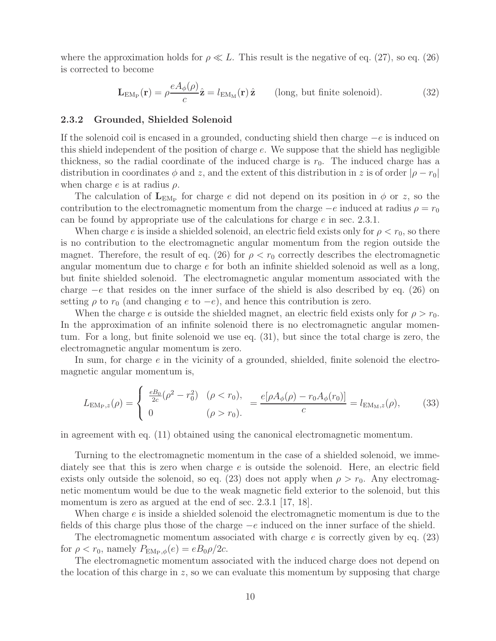where the approximation holds for  $\rho \ll L$ . This result is the negative of eq. (27), so eq. (26) is corrected to become

$$
\mathbf{L}_{EM_{P}}(\mathbf{r}) = \rho \frac{eA_{\phi}(\rho)}{c} \hat{\mathbf{z}} = l_{EM_{M}}(\mathbf{r}) \hat{\mathbf{z}} \qquad \text{(long, but finite solenoid)}.
$$
 (32)

#### **2.3.2 Grounded, Shielded Solenoid**

If the solenoid coil is encased in a grounded, conducting shield then charge  $-e$  is induced on this shield independent of the position of charge e. We suppose that the shield has negligible thickness, so the radial coordinate of the induced charge is  $r_0$ . The induced charge has a distribution in coordinates  $\phi$  and z, and the extent of this distribution in z is of order  $|\rho - r_0|$ when charge  $e$  is at radius  $\rho$ .

The calculation of  $\mathbf{L}_{EM_P}$  for charge e did not depend on its position in  $\phi$  or z, so the contribution to the electromagnetic momentum from the charge  $-e$  induced at radius  $\rho = r_0$ can be found by appropriate use of the calculations for charge  $e$  in sec. 2.3.1.

When charge e is inside a shielded solenoid, an electric field exists only for  $\rho < r_0$ , so there is no contribution to the electromagnetic angular momentum from the region outside the magnet. Therefore, the result of eq. (26) for  $\rho < r_0$  correctly describes the electromagnetic angular momentum due to charge e for both an infinite shielded solenoid as well as a long, but finite shielded solenoid. The electromagnetic angular momentum associated with the charge <sup>−</sup><sup>e</sup> that resides on the inner surface of the shield is also described by eq. (26) on setting  $\rho$  to  $r_0$  (and changing e to  $-e$ ), and hence this contribution is zero.

When the charge e is outside the shielded magnet, an electric field exists only for  $\rho > r_0$ . In the approximation of an infinite solenoid there is no electromagnetic angular momentum. For a long, but finite solenoid we use eq. (31), but since the total charge is zero, the electromagnetic angular momentum is zero.

In sum, for charge e in the vicinity of a grounded, shielded, finite solenoid the electromagnetic angular momentum is,

$$
L_{\text{EM}_{\text{P}},z}(\rho) = \begin{cases} \frac{e_{0}}{2c}(\rho^{2} - r_{0}^{2}) & (\rho < r_{0}),\\ 0 & (\rho > r_{0}). \end{cases} = \frac{e[\rho A_{\phi}(\rho) - r_{0}A_{\phi}(r_{0})]}{c} = l_{\text{EM}_{\text{M}},z}(\rho), \quad (33)
$$

in agreement with eq. (11) obtained using the canonical electromagnetic momentum.

Turning to the electromagnetic momentum in the case of a shielded solenoid, we immediately see that this is zero when charge e is outside the solenoid. Here, an electric field exists only outside the solenoid, so eq. (23) does not apply when  $\rho > r_0$ . Any electromagnetic momentum would be due to the weak magnetic field exterior to the solenoid, but this momentum is zero as argued at the end of sec. 2.3.1 [17, 18].

When charge  $e$  is inside a shielded solenoid the electromagnetic momentum is due to the fields of this charge plus those of the charge  $-e$  induced on the inner surface of the shield.

The electromagnetic momentum associated with charge  $e$  is correctly given by eq. (23) for  $\rho < r_0$ , namely  $P_{\text{EM}_P,\phi}(e) = eB_0\rho/2c$ .

The electromagnetic momentum associated with the induced charge does not depend on the location of this charge in  $z$ , so we can evaluate this momentum by supposing that charge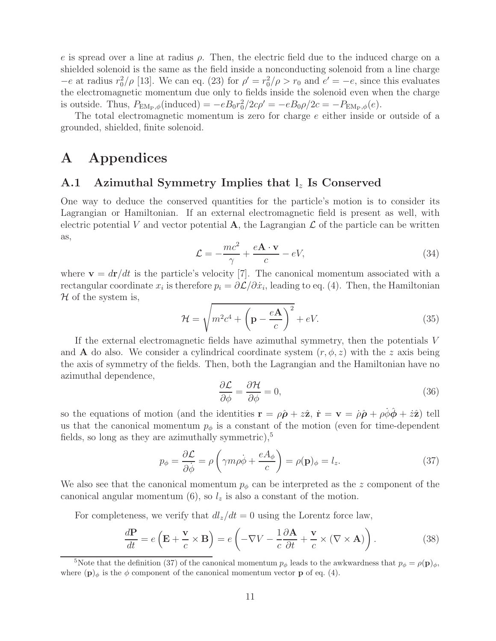e is spread over a line at radius  $\rho$ . Then, the electric field due to the induced charge on a shielded solenoid is the same as the field inside a nonconducting solenoid from a line charge  $-e$  at radius  $r_0^2/\rho$  [13]. We can eq. (23) for  $\rho' = r_0^2/\rho > r_0$  and  $e' = -e$ , since this evaluates the electromagnetic momentum due only to fields inside the solenoid even when the charge is outside. Thus,  $P_{EM_P,\phi}(\text{induced}) = -eB_0r_0^2/2c\rho' = -eB_0\rho/2c = -P_{EM_P,\phi}(e)$ .

The total electromagnetic momentum is zero for charge e either inside or outside of a grounded, shielded, finite solenoid.

## **A Appendices**

### **A.1 Azimuthal Symmetry Implies that l**<sup>z</sup> **Is Conserved**

One way to deduce the conserved quantities for the particle's motion is to consider its Lagrangian or Hamiltonian. If an external electromagnetic field is present as well, with electric potential V and vector potential A, the Lagrangian  $\mathcal L$  of the particle can be written as,

$$
\mathcal{L} = -\frac{mc^2}{\gamma} + \frac{e\mathbf{A} \cdot \mathbf{v}}{c} - eV,\tag{34}
$$

where  $\mathbf{v} = d\mathbf{r}/dt$  is the particle's velocity [7]. The canonical momentum associated with a rectangular coordinate  $x_i$  is therefore  $p_i = \partial \mathcal{L}/\partial \dot{x}_i$ , leading to eq. (4). Then, the Hamiltonian  $H$  of the system is,

$$
\mathcal{H} = \sqrt{m^2 c^4 + \left(\mathbf{p} - \frac{e\mathbf{A}}{c}\right)^2} + eV.
$$
 (35)

If the external electromagnetic fields have azimuthal symmetry, then the potentials V and **A** do also. We consider a cylindrical coordinate system  $(r, \phi, z)$  with the z axis being the axis of symmetry of the fields. Then, both the Lagrangian and the Hamiltonian have no azimuthal dependence,

$$
\frac{\partial \mathcal{L}}{\partial \phi} = \frac{\partial \mathcal{H}}{\partial \phi} = 0,\tag{36}
$$

so the equations of motion (and the identities  $\mathbf{r} = \rho \hat{\boldsymbol{\rho}} + z \hat{\mathbf{z}}$ ,  $\dot{\mathbf{r}} = \mathbf{v} = \dot{\rho} \hat{\boldsymbol{\rho}} + \rho \dot{\phi} \hat{\boldsymbol{\phi}} + \dot{z} \hat{\mathbf{z}}$ ) tell us that the canonical momentum  $p_{\phi}$  is a constant of the motion (even for time-dependent fields, so long as they are azimuthally symmetric), $5$ 

$$
p_{\phi} = \frac{\partial \mathcal{L}}{\partial \dot{\phi}} = \rho \left( \gamma m \rho \dot{\phi} + \frac{e A_{\phi}}{c} \right) = \rho(\mathbf{p})_{\phi} = l_{z}.
$$
 (37)

We also see that the canonical momentum  $p_{\phi}$  can be interpreted as the z component of the canonical angular momentum  $(6)$ , so  $l_z$  is also a constant of the motion.

For completeness, we verify that  $dl_z/dt = 0$  using the Lorentz force law,

$$
\frac{d\mathbf{P}}{dt} = e\left(\mathbf{E} + \frac{\mathbf{v}}{c} \times \mathbf{B}\right) = e\left(-\nabla V - \frac{1}{c}\frac{\partial \mathbf{A}}{\partial t} + \frac{\mathbf{v}}{c} \times (\nabla \times \mathbf{A})\right). \tag{38}
$$

<sup>&</sup>lt;sup>5</sup>Note that the definition (37) of the canonical momentum  $p_{\phi}$  leads to the awkwardness that  $p_{\phi} = \rho(\mathbf{p})_{\phi}$ , where  $(\mathbf{p})_{\phi}$  is the  $\phi$  component of the canonical momentum vector **p** of eq. (4).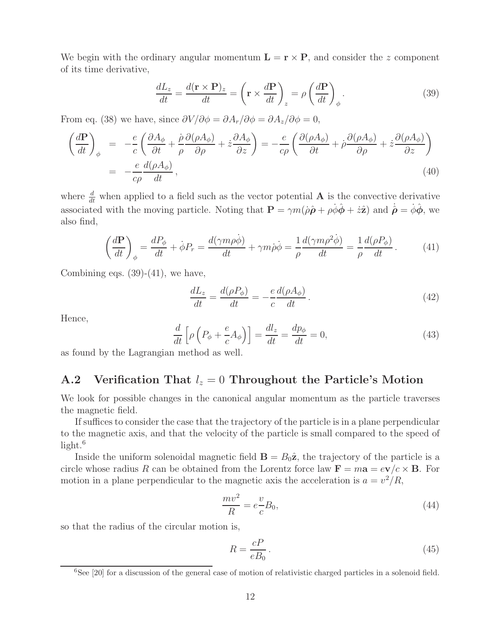We begin with the ordinary angular momentum  $\mathbf{L} = \mathbf{r} \times \mathbf{P}$ , and consider the z component of its time derivative,

$$
\frac{dL_z}{dt} = \frac{d(\mathbf{r} \times \mathbf{P})_z}{dt} = \left(\mathbf{r} \times \frac{d\mathbf{P}}{dt}\right)_z = \rho \left(\frac{d\mathbf{P}}{dt}\right)_\phi.
$$
(39)

From eq. (38) we have, since  $\partial V/\partial \phi = \partial A_r/\partial \phi = \partial A_z/\partial \phi = 0$ ,

$$
\left(\frac{d\mathbf{P}}{dt}\right)_{\phi} = -\frac{e}{c} \left(\frac{\partial A_{\phi}}{\partial t} + \frac{\dot{\rho}}{\rho} \frac{\partial (\rho A_{\phi})}{\partial \rho} + \dot{z} \frac{\partial A_{\phi}}{\partial z}\right) = -\frac{e}{c\rho} \left(\frac{\partial (\rho A_{\phi})}{\partial t} + \dot{\rho} \frac{\partial (\rho A_{\phi})}{\partial \rho} + \dot{z} \frac{\partial (\rho A_{\phi})}{\partial z}\right)
$$
\n
$$
= -\frac{e}{c\rho} \frac{d(\rho A_{\phi})}{dt},
$$
\n(40)

where  $\frac{d}{dt}$  when applied to a field such as the vector potential **A** is the convective derivative associated with the moving particle. Noting that  $\mathbf{P} = \gamma m(\rho \hat{\boldsymbol{\rho}} + \rho \dot{\phi} \hat{\boldsymbol{\phi}} + \dot{z} \hat{\mathbf{z}})$  and  $\dot{\hat{\boldsymbol{\rho}}} = \dot{\phi} \hat{\boldsymbol{\phi}}$ , we also find,

$$
\left(\frac{d\mathbf{P}}{dt}\right)_{\phi} = \frac{dP_{\phi}}{dt} + \dot{\phi}P_{r} = \frac{d(\gamma m\rho\dot{\phi})}{dt} + \gamma m\dot{\rho}\dot{\phi} = \frac{1}{\rho}\frac{d(\gamma m\rho^{2}\dot{\phi})}{dt} = \frac{1}{\rho}\frac{d(\rho P_{\phi})}{dt}.
$$
 (41)

Combining eqs.  $(39)-(41)$ , we have,

$$
\frac{dL_z}{dt} = \frac{d(\rho P_\phi)}{dt} = -\frac{e}{c}\frac{d(\rho A_\phi)}{dt}.
$$
\n(42)

Hence,

$$
\frac{d}{dt}\left[\rho\left(P_{\phi} + \frac{e}{c}A_{\phi}\right)\right] = \frac{dl_z}{dt} = \frac{dp_{\phi}}{dt} = 0,
$$
\n(43)

as found by the Lagrangian method as well.

## **A.2** Verification That  $l_z = 0$  Throughout the Particle's Motion

We look for possible changes in the canonical angular momentum as the particle traverses the magnetic field.

If suffices to consider the case that the trajectory of the particle is in a plane perpendicular to the magnetic axis, and that the velocity of the particle is small compared to the speed of light. $6$ 

Inside the uniform solenoidal magnetic field  $\mathbf{B} = B_0 \hat{\mathbf{z}}$ , the trajectory of the particle is a circle whose radius R can be obtained from the Lorentz force law  $\mathbf{F} = m\mathbf{a} = e\mathbf{v}/c \times \mathbf{B}$ . For motion in a plane perpendicular to the magnetic axis the acceleration is  $a = v^2/R$ ,

$$
\frac{mv^2}{R} = e\frac{v}{c}B_0,\tag{44}
$$

so that the radius of the circular motion is,

$$
R = \frac{cP}{eB_0} \,. \tag{45}
$$

 ${}^{6}$ See [20] for a discussion of the general case of motion of relativistic charged particles in a solenoid field.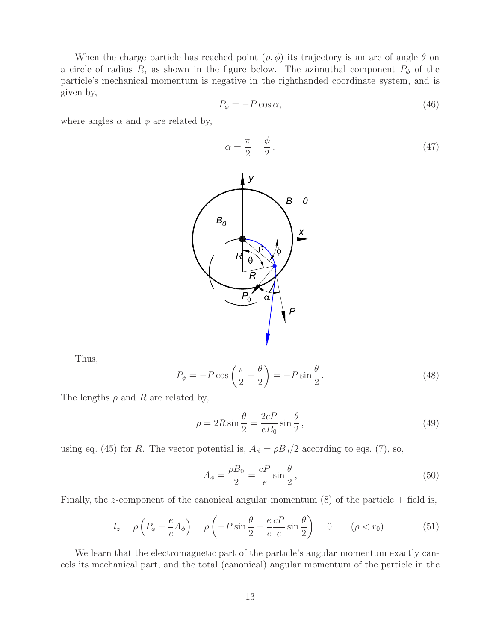When the charge particle has reached point  $(\rho, \phi)$  its trajectory is an arc of angle  $\theta$  on a circle of radius R, as shown in the figure below. The azimuthal component  $P_{\phi}$  of the particle's mechanical momentum is negative in the righthanded coordinate system, and is given by,

$$
P_{\phi} = -P\cos\alpha,\tag{46}
$$

where angles  $\alpha$  and  $\phi$  are related by,

$$
\alpha = \frac{\pi}{2} - \frac{\phi}{2} \,. \tag{47}
$$



Thus,

$$
P_{\phi} = -P \cos\left(\frac{\pi}{2} - \frac{\theta}{2}\right) = -P \sin\frac{\theta}{2}.
$$
 (48)

The lengths  $\rho$  and R are related by,

$$
\rho = 2R\sin\frac{\theta}{2} = \frac{2cP}{eB_0}\sin\frac{\theta}{2},\qquad(49)
$$

using eq. (45) for R. The vector potential is,  $A_{\phi} = \rho B_0/2$  according to eqs. (7), so,

$$
A_{\phi} = \frac{\rho B_0}{2} = \frac{cP}{e} \sin \frac{\theta}{2},\tag{50}
$$

Finally, the z-component of the canonical angular momentum  $(8)$  of the particle + field is,

$$
l_z = \rho \left( P_\phi + \frac{e}{c} A_\phi \right) = \rho \left( -P \sin \frac{\theta}{2} + \frac{e}{c} \frac{c}{e} \sin \frac{\theta}{2} \right) = 0 \qquad (\rho < r_0). \tag{51}
$$

We learn that the electromagnetic part of the particle's angular momentum exactly cancels its mechanical part, and the total (canonical) angular momentum of the particle in the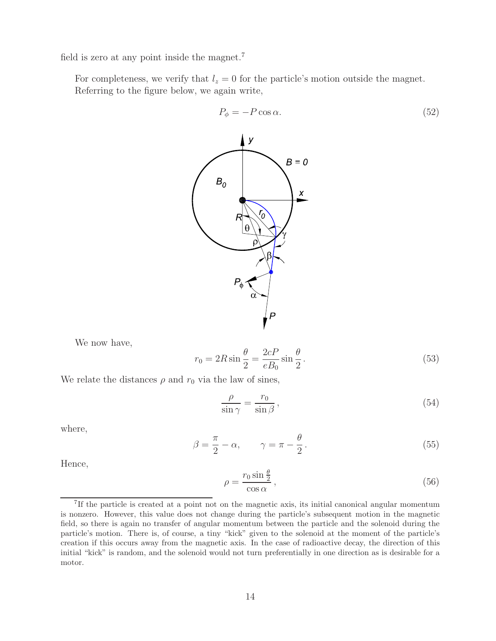field is zero at any point inside the magnet.<sup>7</sup>

For completeness, we verify that  $l_z = 0$  for the particle's motion outside the magnet. Referring to the figure below, we again write,



We now have,

$$
r_0 = 2R\sin\frac{\theta}{2} = \frac{2cP}{eB_0}\sin\frac{\theta}{2}.
$$
\n(53)

We relate the distances  $\rho$  and  $r_0$  via the law of sines,

$$
\frac{\rho}{\sin \gamma} = \frac{r_0}{\sin \beta},\tag{54}
$$

where,

$$
\beta = \frac{\pi}{2} - \alpha, \qquad \gamma = \pi - \frac{\theta}{2}.
$$
\n(55)

Hence,

$$
\rho = \frac{r_0 \sin \frac{\theta}{2}}{\cos \alpha},\tag{56}
$$

<sup>7</sup>If the particle is created at a point not on the magnetic axis, its initial canonical angular momentum is nonzero. However, this value does not change during the particle's subsequent motion in the magnetic field, so there is again no transfer of angular momentum between the particle and the solenoid during the particle's motion. There is, of course, a tiny "kick" given to the solenoid at the moment of the particle's creation if this occurs away from the magnetic axis. In the case of radioactive decay, the direction of this initial "kick" is random, and the solenoid would not turn preferentially in one direction as is desirable for a motor.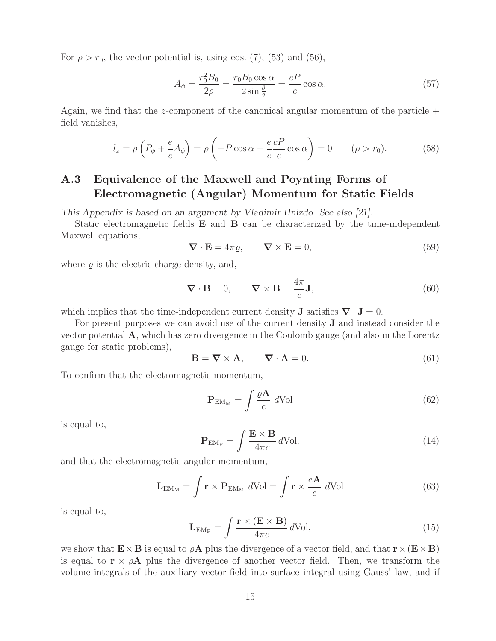For  $\rho > r_0$ , the vector potential is, using eqs. (7), (53) and (56),

$$
A_{\phi} = \frac{r_0^2 B_0}{2\rho} = \frac{r_0 B_0 \cos \alpha}{2 \sin \frac{\theta}{2}} = \frac{cP}{e} \cos \alpha.
$$
 (57)

Again, we find that the z-component of the canonical angular momentum of the particle  $+$ field vanishes,

$$
l_z = \rho \left( P_\phi + \frac{e}{c} A_\phi \right) = \rho \left( -P \cos \alpha + \frac{e}{c} \frac{cP}{e} \cos \alpha \right) = 0 \qquad (\rho > r_0). \tag{58}
$$

## **A.3 Equivalence of the Maxwell and Poynting Forms of Electromagnetic (Angular) Momentum for Static Fields**

*This Appendix is based on an argument by Vladimir Hnizdo. See also [21].*

Static electromagnetic fields **E** and **B** can be characterized by the time-independent Maxwell equations,

$$
\nabla \cdot \mathbf{E} = 4\pi \varrho, \qquad \nabla \times \mathbf{E} = 0,
$$
\n(59)

where  $\rho$  is the electric charge density, and,

$$
\nabla \cdot \mathbf{B} = 0, \qquad \nabla \times \mathbf{B} = \frac{4\pi}{c} \mathbf{J}, \tag{60}
$$

which implies that the time-independent current density **J** satisfies  $\nabla \cdot \mathbf{J} = 0$ .

For present purposes we can avoid use of the current density **J** and instead consider the vector potential **A**, which has zero divergence in the Coulomb gauge (and also in the Lorentz gauge for static problems),

$$
\mathbf{B} = \nabla \times \mathbf{A}, \qquad \nabla \cdot \mathbf{A} = 0. \tag{61}
$$

To confirm that the electromagnetic momentum,

$$
\mathbf{P}_{\text{EM}_{\text{M}}} = \int \frac{\varrho \mathbf{A}}{c} \, d\text{Vol} \tag{62}
$$

is equal to,

$$
\mathbf{P}_{\mathrm{EM}_{\mathrm{P}}} = \int \frac{\mathbf{E} \times \mathbf{B}}{4\pi c} d\mathrm{Vol},\tag{14}
$$

and that the electromagnetic angular momentum,

$$
\mathbf{L}_{EM_M} = \int \mathbf{r} \times \mathbf{P}_{EM_M} dVol = \int \mathbf{r} \times \frac{e\mathbf{A}}{c} dVol \qquad (63)
$$

is equal to,

$$
\mathbf{L}_{EM_{P}} = \int \frac{\mathbf{r} \times (\mathbf{E} \times \mathbf{B})}{4\pi c} d\text{Vol},\tag{15}
$$

we show that  $\mathbf{E} \times \mathbf{B}$  is equal to  $\rho \mathbf{A}$  plus the divergence of a vector field, and that  $\mathbf{r} \times (\mathbf{E} \times \mathbf{B})$ is equal to  $\mathbf{r} \times \rho \mathbf{A}$  plus the divergence of another vector field. Then, we transform the volume integrals of the auxiliary vector field into surface integral using Gauss' law, and if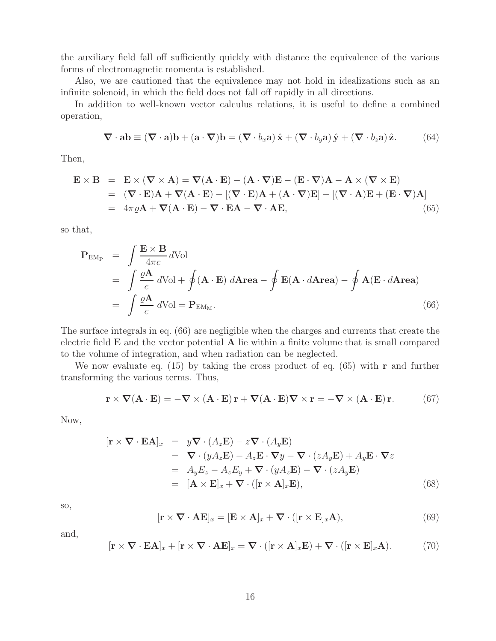the auxiliary field fall off sufficiently quickly with distance the equivalence of the various forms of electromagnetic momenta is established.

Also, we are cautioned that the equivalence may not hold in idealizations such as an infinite solenoid, in which the field does not fall off rapidly in all directions.

In addition to well-known vector calculus relations, it is useful to define a combined operation,

$$
\nabla \cdot \mathbf{a} \mathbf{b} \equiv (\nabla \cdot \mathbf{a}) \mathbf{b} + (\mathbf{a} \cdot \nabla) \mathbf{b} = (\nabla \cdot b_x \mathbf{a}) \hat{\mathbf{x}} + (\nabla \cdot b_y \mathbf{a}) \hat{\mathbf{y}} + (\nabla \cdot b_z \mathbf{a}) \hat{\mathbf{z}}.
$$
 (64)

Then,

$$
\mathbf{E} \times \mathbf{B} = \mathbf{E} \times (\nabla \times \mathbf{A}) = \nabla (\mathbf{A} \cdot \mathbf{E}) - (\mathbf{A} \cdot \nabla)\mathbf{E} - (\mathbf{E} \cdot \nabla)\mathbf{A} - \mathbf{A} \times (\nabla \times \mathbf{E})
$$
  
= (\nabla \cdot \mathbf{E})\mathbf{A} + \nabla (\mathbf{A} \cdot \mathbf{E}) - [(\nabla \cdot \mathbf{E})\mathbf{A} + (\mathbf{A} \cdot \nabla)\mathbf{E}] - [(\nabla \cdot \mathbf{A})\mathbf{E} + (\mathbf{E} \cdot \nabla)\mathbf{A}]  
= 4\pi \varrho \mathbf{A} + \nabla (\mathbf{A} \cdot \mathbf{E}) - \nabla \cdot \mathbf{E} \mathbf{A} - \nabla \cdot \mathbf{A} \mathbf{E}, (65)

so that,

$$
\mathbf{P}_{EM_P} = \int \frac{\mathbf{E} \times \mathbf{B}}{4\pi c} d\text{Vol}
$$
  
= 
$$
\int \frac{\rho \mathbf{A}}{c} d\text{Vol} + \oint (\mathbf{A} \cdot \mathbf{E}) d\text{Area} - \oint \mathbf{E} (\mathbf{A} \cdot d\text{Area}) - \oint \mathbf{A} (\mathbf{E} \cdot d\text{Area})
$$
  
= 
$$
\int \frac{\rho \mathbf{A}}{c} d\text{Vol} = \mathbf{P}_{EM_M}.
$$
 (66)

The surface integrals in eq. (66) are negligible when the charges and currents that create the electric field **E** and the vector potential **A** lie within a finite volume that is small compared to the volume of integration, and when radiation can be neglected.

We now evaluate eq. (15) by taking the cross product of eq. (65) with **r** and further transforming the various terms. Thus,

$$
\mathbf{r} \times \nabla (\mathbf{A} \cdot \mathbf{E}) = -\nabla \times (\mathbf{A} \cdot \mathbf{E}) \mathbf{r} + \nabla (\mathbf{A} \cdot \mathbf{E}) \nabla \times \mathbf{r} = -\nabla \times (\mathbf{A} \cdot \mathbf{E}) \mathbf{r}.
$$
 (67)

Now,

$$
[\mathbf{r} \times \nabla \cdot \mathbf{E} \mathbf{A}]_x = y \nabla \cdot (A_z \mathbf{E}) - z \nabla \cdot (A_y \mathbf{E})
$$
  
\n
$$
= \nabla \cdot (y A_z \mathbf{E}) - A_z \mathbf{E} \cdot \nabla y - \nabla \cdot (z A_y \mathbf{E}) + A_y \mathbf{E} \cdot \nabla z
$$
  
\n
$$
= A_y E_z - A_z E_y + \nabla \cdot (y A_z \mathbf{E}) - \nabla \cdot (z A_y \mathbf{E})
$$
  
\n
$$
= [\mathbf{A} \times \mathbf{E}]_x + \nabla \cdot ([\mathbf{r} \times \mathbf{A}]_x \mathbf{E}), \qquad (68)
$$

so,

$$
[\mathbf{r} \times \nabla \cdot \mathbf{A} \mathbf{E}]_x = [\mathbf{E} \times \mathbf{A}]_x + \nabla \cdot ([\mathbf{r} \times \mathbf{E}]_x \mathbf{A}), \tag{69}
$$

and,

$$
[\mathbf{r} \times \nabla \cdot \mathbf{E} \mathbf{A}]_x + [\mathbf{r} \times \nabla \cdot \mathbf{A} \mathbf{E}]_x = \nabla \cdot ([\mathbf{r} \times \mathbf{A}]_x \mathbf{E}) + \nabla \cdot ([\mathbf{r} \times \mathbf{E}]_x \mathbf{A}).
$$
 (70)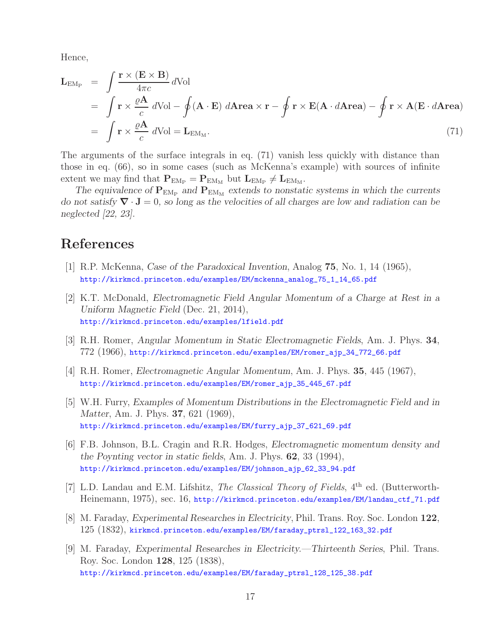Hence,

$$
\mathbf{L}_{EM_{P}} = \int \frac{\mathbf{r} \times (\mathbf{E} \times \mathbf{B})}{4\pi c} dVol
$$
\n
$$
= \int \mathbf{r} \times \frac{\rho \mathbf{A}}{c} dVol - \oint (\mathbf{A} \cdot \mathbf{E}) d\mathbf{A} \mathbf{r} \mathbf{e} \times \mathbf{r} - \oint \mathbf{r} \times \mathbf{E} (\mathbf{A} \cdot d\mathbf{A} \mathbf{r} \mathbf{e} \mathbf{a}) - \oint \mathbf{r} \times \mathbf{A} (\mathbf{E} \cdot d\mathbf{A} \mathbf{r} \mathbf{e} \mathbf{a})
$$
\n
$$
= \int \mathbf{r} \times \frac{\rho \mathbf{A}}{c} dVol = \mathbf{L}_{EM_{M}}.
$$
\n(71)

The arguments of the surface integrals in eq. (71) vanish less quickly with distance than those in eq. (66), so in some cases (such as McKenna's example) with sources of infinite extent we may find that  $P_{EM_P} = P_{EM_M}$  but  $L_{EM_P} \neq L_{EM_M}$ .

The equivalence of  $P_{EM_P}$  and  $P_{EM_M}$  extends to nonstatic systems in which the currents *do not satisfy ∇* · **J** = 0*, so long as the velocities of all charges are low and radiation can be neglected [22, 23].*

# **References**

- [1] R.P. McKenna, *Case of the Paradoxical Invention*, Analog **75**, No. 1, 14 (1965), http://kirkmcd.princeton.edu/examples/EM/mckenna\_analog\_75\_1\_14\_65.pdf
- [2] K.T. McDonald, *Electromagnetic Field Angular Momentum of a Charge at Rest in a Uniform Magnetic Field* (Dec. 21, 2014), http://kirkmcd.princeton.edu/examples/lfield.pdf
- [3] R.H. Romer, *Angular Momentum in Static Electromagnetic Fields*, Am. J. Phys. **34**, 772 (1966), http://kirkmcd.princeton.edu/examples/EM/romer\_ajp\_34\_772\_66.pdf
- [4] R.H. Romer, *Electromagnetic Angular Momentum*, Am. J. Phys. **35**, 445 (1967), http://kirkmcd.princeton.edu/examples/EM/romer\_ajp\_35\_445\_67.pdf
- [5] W.H. Furry, *Examples of Momentum Distributions in the Electromagnetic Field and in Matter*, Am. J. Phys. **37**, 621 (1969), http://kirkmcd.princeton.edu/examples/EM/furry\_ajp\_37\_621\_69.pdf
- [6] F.B. Johnson, B.L. Cragin and R.R. Hodges, *Electromagnetic momentum density and the Poynting vector in static fields*, Am. J. Phys. **62**, 33 (1994), http://kirkmcd.princeton.edu/examples/EM/johnson\_ajp\_62\_33\_94.pdf
- [7] L.D. Landau and E.M. Lifshitz, *The Classical Theory of Fields*, 4th ed. (Butterworth-Heinemann, 1975), sec. 16, http://kirkmcd.princeton.edu/examples/EM/landau\_ctf\_71.pdf
- [8] M. Faraday, *Experimental Researches in Electricity*, Phil. Trans. Roy. Soc. London **122**, 125 (1832), kirkmcd.princeton.edu/examples/EM/faraday\_ptrsl\_122\_163\_32.pdf
- [9] M. Faraday, *Experimental Researches in Electricity.—Thirteenth Series*, Phil. Trans. Roy. Soc. London **128**, 125 (1838), http://kirkmcd.princeton.edu/examples/EM/faraday\_ptrsl\_128\_125\_38.pdf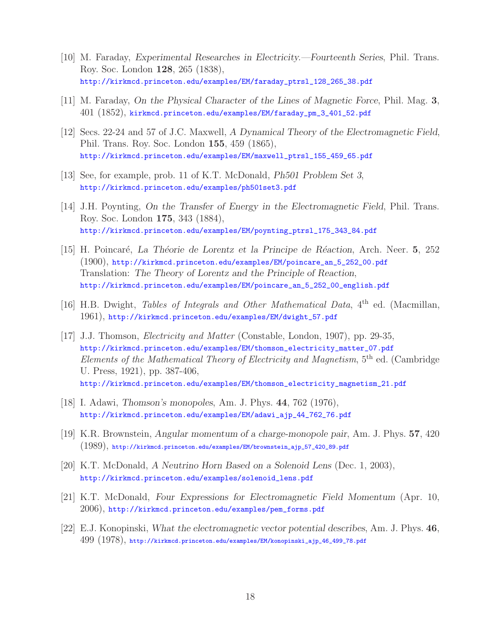- [10] M. Faraday, *Experimental Researches in Electricity.—Fourteenth Series*, Phil. Trans. Roy. Soc. London **128**, 265 (1838), http://kirkmcd.princeton.edu/examples/EM/faraday\_ptrsl\_128\_265\_38.pdf
- [11] M. Faraday, *On the Physical Character of the Lines of Magnetic Force*, Phil. Mag. **3**, 401 (1852), kirkmcd.princeton.edu/examples/EM/faraday\_pm\_3\_401\_52.pdf
- [12] Secs. 22-24 and 57 of J.C. Maxwell, *A Dynamical Theory of the Electromagnetic Field*, Phil. Trans. Roy. Soc. London **155**, 459 (1865), http://kirkmcd.princeton.edu/examples/EM/maxwell\_ptrsl\_155\_459\_65.pdf
- [13] See, for example, prob. 11 of K.T. McDonald, *Ph501 Problem Set 3*, http://kirkmcd.princeton.edu/examples/ph501set3.pdf
- [14] J.H. Poynting, *On the Transfer of Energy in the Electromagnetic Field*, Phil. Trans. Roy. Soc. London **175**, 343 (1884), http://kirkmcd.princeton.edu/examples/EM/poynting\_ptrsl\_175\_343\_84.pdf
- [15] H. Poincar´e, *La Th´eorie de Lorentz et la Principe de R´eaction*, Arch. Neer. **5**, 252 (1900), http://kirkmcd.princeton.edu/examples/EM/poincare\_an\_5\_252\_00.pdf Translation: *The Theory of Lorentz and the Principle of Reaction*, http://kirkmcd.princeton.edu/examples/EM/poincare\_an\_5\_252\_00\_english.pdf
- [16] H.B. Dwight, *Tables of Integrals and Other Mathematical Data*, 4<sup>th</sup> ed. (Macmillan, 1961), http://kirkmcd.princeton.edu/examples/EM/dwight\_57.pdf
- [17] J.J. Thomson, *Electricity and Matter* (Constable, London, 1907), pp. 29-35, http://kirkmcd.princeton.edu/examples/EM/thomson\_electricity\_matter\_07.pdf *Elements of the Mathematical Theory of Electricity and Magnetism*, 5th ed. (Cambridge U. Press, 1921), pp. 387-406, http://kirkmcd.princeton.edu/examples/EM/thomson\_electricity\_magnetism\_21.pdf
- [18] I. Adawi, *Thomson's monopoles*, Am. J. Phys. **44**, 762 (1976), http://kirkmcd.princeton.edu/examples/EM/adawi\_ajp\_44\_762\_76.pdf
- [19] K.R. Brownstein, *Angular momentum of a charge-monopole pair*, Am. J. Phys. **57**, 420 (1989), http://kirkmcd.princeton.edu/examples/EM/brownstein\_ajp\_57\_420\_89.pdf
- [20] K.T. McDonald, *A Neutrino Horn Based on a Solenoid Lens* (Dec. 1, 2003), http://kirkmcd.princeton.edu/examples/solenoid\_lens.pdf
- [21] K.T. McDonald, *Four Expressions for Electromagnetic Field Momentum* (Apr. 10, 2006), http://kirkmcd.princeton.edu/examples/pem\_forms.pdf
- [22] E.J. Konopinski, *What the electromagnetic vector potential describes*, Am. J. Phys. **46**, 499 (1978), http://kirkmcd.princeton.edu/examples/EM/konopinski\_ajp\_46\_499\_78.pdf